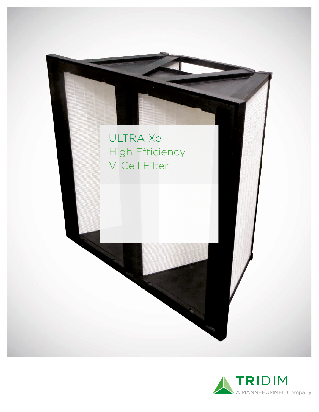

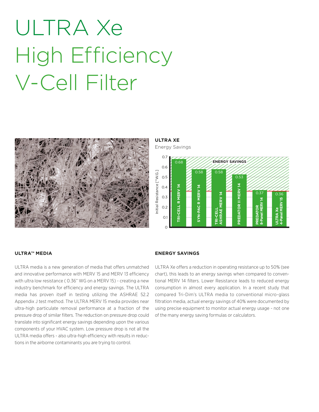# ULTRA Xe High Efficiency V-Cell Filter



**ULTRA XE**

Energy Savings



#### **ULTRA™ MEDIA**

ULTRA media is a new generation of media that offers unmatched and innovative performance with MERV 15 and MERV 13 efficiency with ultra low resistance ( 0.36" WG on a MERV 15) - creating a new industry benchmark for efficiency and energy savings. The ULTRA media has proven itself in testing utilizing the ASHRAE 52.2 Appendix J test method. The ULTRA MERV 15 media provides near ultra-high particulate removal performance at a fraction of the pressure drop of similar filters. The reduction on pressure drop could translate into significant energy savings depending upon the various components of your HVAC system. Low pressure drop is not all the ULTRA media offers - also ultra-high efficiency with results in reductions in the airborne contaminants you are trying to control.

#### **ENERGY SAVINGS**

ULTRA Xe offers a reduction in operating resistance up to 50% (see chart), this leads to an energy savings when compared to conventional MERV 14 filters. Lower Resistance leads to reduced energy consumption in almost every application. In a recent study that compared Tri-Dim's ULTRA media to conventional micro-glass filtration media, actual energy savings of 40% were documented by using precise equipment to monitor actual energy usage - not one of the many energy saving formulas or calculators.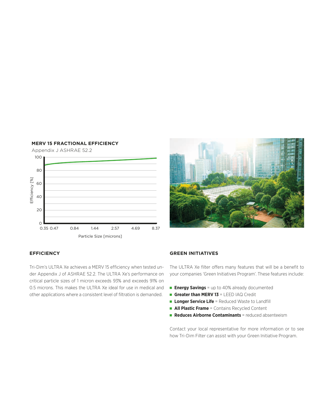



### **EFFICIENCY**

Tri-Dim's ULTRA Xe achieves a MERV 15 efficiency when tested under Appendix J of ASHRAE 52.2. The ULTRA Xe's performance on critical particle sizes of 1 micron exceeds 93% and exceeds 91% on 0.5 microns. This makes the ULTRA Xe ideal for use in medical and

#### **GREEN INITIATIVES**

The ULTRA Xe filter offers many features that will be a benefit to your companies 'Green Initiatives Program'. These features include:

- **Energy Savings** = up to 40% already documented
- **Greater than MERV 13** = LEED IAQ Credit
- **Longer Service Life** = Reduced Waste to Landfill
- **All Plastic Frame** = Contains Recycled Content
- **Reduces Airborne Contaminants** = reduced absenteeism

Contact your local representative for more information or to see how Tri-Dim Filter can assist with your Green Initiative Program.